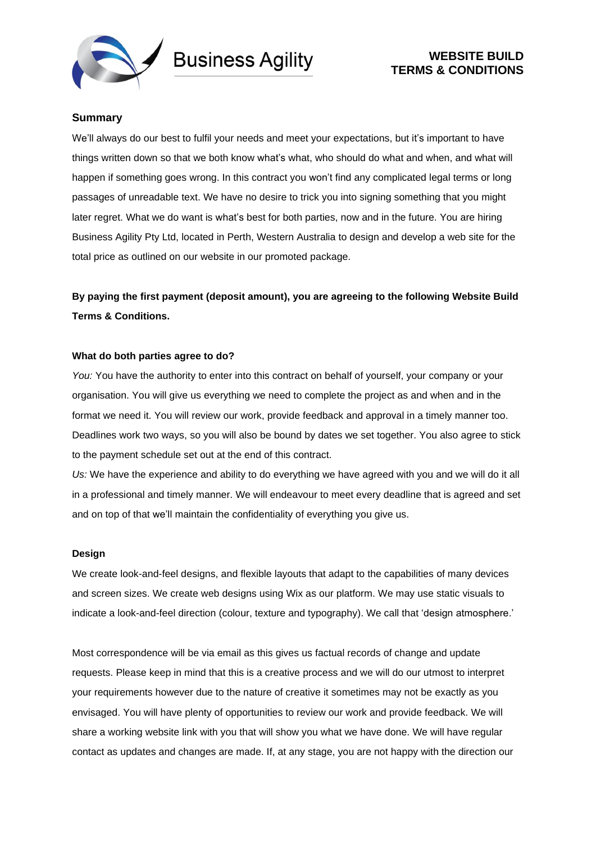



# **Summary**

We'll always do our best to fulfil your needs and meet your expectations, but it's important to have things written down so that we both know what's what, who should do what and when, and what will happen if something goes wrong. In this contract you won't find any complicated legal terms or long passages of unreadable text. We have no desire to trick you into signing something that you might later regret. What we do want is what's best for both parties, now and in the future. You are hiring Business Agility Pty Ltd, located in Perth, Western Australia to design and develop a web site for the total price as outlined on our website in our promoted package.

**By paying the first payment (deposit amount), you are agreeing to the following Website Build Terms & Conditions.**

## **What do both parties agree to do?**

You: You have the authority to enter into this contract on behalf of yourself, your company or your organisation. You will give us everything we need to complete the project as and when and in the format we need it. You will review our work, provide feedback and approval in a timely manner too. Deadlines work two ways, so you will also be bound by dates we set together. You also agree to stick to the payment schedule set out at the end of this contract.

*Us:* We have the experience and ability to do everything we have agreed with you and we will do it all in a professional and timely manner. We will endeavour to meet every deadline that is agreed and set and on top of that we'll maintain the confidentiality of everything you give us.

## **Design**

We create look-and-feel designs, and flexible layouts that adapt to the capabilities of many devices and screen sizes. We create web designs using Wix as our platform. We may use static visuals to indicate a look-and-feel direction (colour, texture and typography). We call that 'design atmosphere.'

Most correspondence will be via email as this gives us factual records of change and update requests. Please keep in mind that this is a creative process and we will do our utmost to interpret your requirements however due to the nature of creative it sometimes may not be exactly as you envisaged. You will have plenty of opportunities to review our work and provide feedback. We will share a working website link with you that will show you what we have done. We will have regular contact as updates and changes are made. If, at any stage, you are not happy with the direction our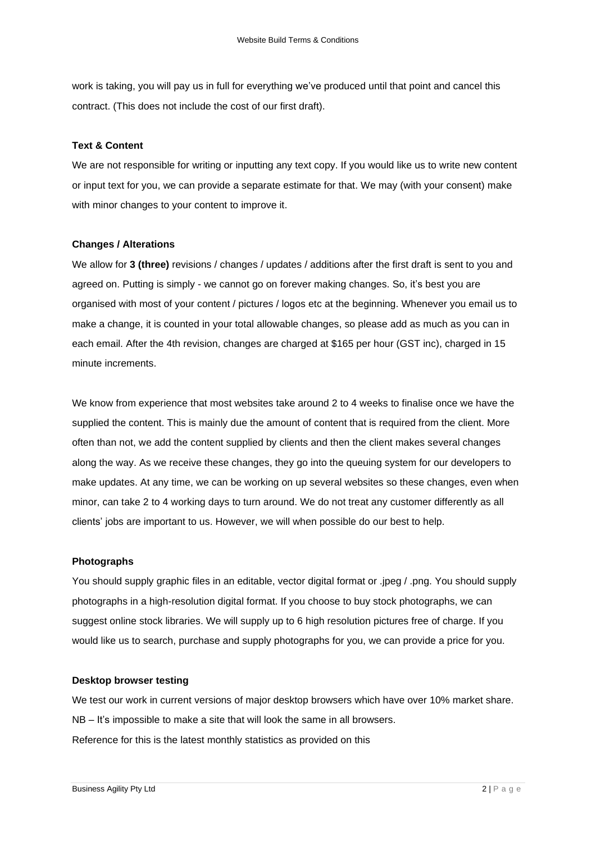work is taking, you will pay us in full for everything we've produced until that point and cancel this contract. (This does not include the cost of our first draft).

### **Text & Content**

We are not responsible for writing or inputting any text copy. If you would like us to write new content or input text for you, we can provide a separate estimate for that. We may (with your consent) make with minor changes to your content to improve it.

## **Changes / Alterations**

We allow for **3** (three) revisions / changes / updates / additions after the first draft is sent to you and agreed on. Putting is simply - we cannot go on forever making changes. So, it's best you are organised with most of your content / pictures / logos etc at the beginning. Whenever you email us to make a change, it is counted in your total allowable changes, so please add as much as you can in each email. After the 4th revision, changes are charged at \$165 per hour (GST inc), charged in 15 minute increments.

We know from experience that most websites take around 2 to 4 weeks to finalise once we have the supplied the content. This is mainly due the amount of content that is required from the client. More often than not, we add the content supplied by clients and then the client makes several changes along the way. As we receive these changes, they go into the queuing system for our developers to make updates. At any time, we can be working on up several websites so these changes, even when minor, can take 2 to 4 working days to turn around. We do not treat any customer differently as all clients' jobs are important to us. However, we will when possible do our best to help.

### **Photographs**

You should supply graphic files in an editable, vector digital format or .jpeg / .png. You should supply photographs in a high-resolution digital format. If you choose to buy stock photographs, we can suggest online stock libraries. We will supply up to 6 high resolution pictures free of charge. If you would like us to search, purchase and supply photographs for you, we can provide a price for you.

## **Desktop browser testing**

We test our work in current versions of major desktop browsers which have over 10% market share. NB – It's impossible to make a site that will look the same in all browsers. Reference for this is the latest monthly statistics as provided on this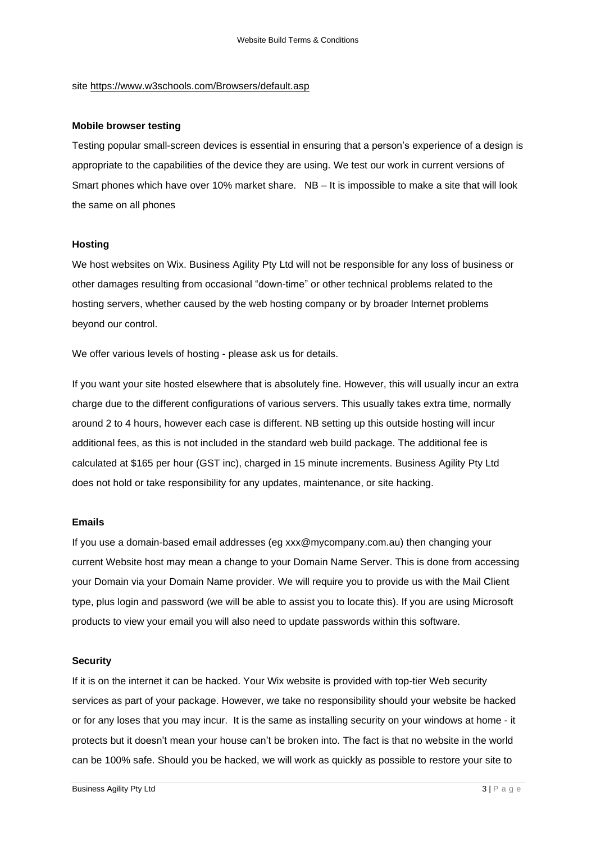site <https://www.w3schools.com/Browsers/default.asp>

## **Mobile browser testing**

Testing popular small-screen devices is essential in ensuring that a person's experience of a design is appropriate to the capabilities of the device they are using. We test our work in current versions of Smart phones which have over 10% market share. NB – It is impossible to make a site that will look the same on all phones

## **Hosting**

We host websites on Wix. Business Agility Pty Ltd will not be responsible for any loss of business or other damages resulting from occasional "down-time" or other technical problems related to the hosting servers, whether caused by the web hosting company or by broader Internet problems beyond our control.

We offer various levels of hosting - please ask us for details.

If you want your site hosted elsewhere that is absolutely fine. However, this will usually incur an extra charge due to the different configurations of various servers. This usually takes extra time, normally around 2 to 4 hours, however each case is different. NB setting up this outside hosting will incur additional fees, as this is not included in the standard web build package. The additional fee is calculated at \$165 per hour (GST inc), charged in 15 minute increments. Business Agility Pty Ltd does not hold or take responsibility for any updates, maintenance, or site hacking.

## **Emails**

If you use a domain-based email addresses (eg xxx@mycompany.com.au) then changing your current Website host may mean a change to your Domain Name Server. This is done from accessing your Domain via your Domain Name provider. We will require you to provide us with the Mail Client type, plus login and password (we will be able to assist you to locate this). If you are using Microsoft products to view your email you will also need to update passwords within this software.

#### **Security**

If it is on the internet it can be hacked. Your Wix website is provided with top-tier Web security services as part of your package. However, we take no responsibility should your website be hacked or for any loses that you may incur. It is the same as installing security on your windows at home - it protects but it doesn't mean your house can't be broken into. The fact is that no website in the world can be 100% safe. Should you be hacked, we will work as quickly as possible to restore your site to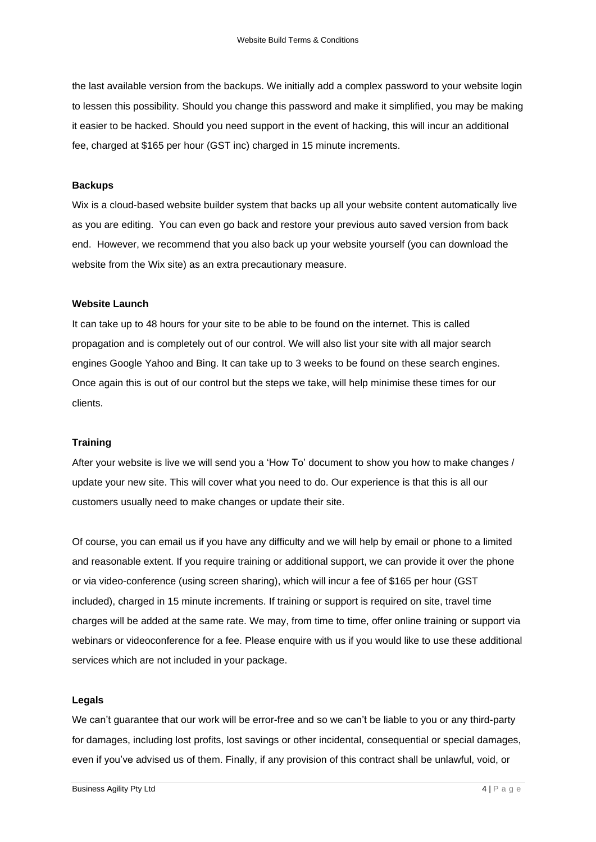the last available version from the backups. We initially add a complex password to your website login to lessen this possibility. Should you change this password and make it simplified, you may be making it easier to be hacked. Should you need support in the event of hacking, this will incur an additional fee, charged at \$165 per hour (GST inc) charged in 15 minute increments.

## **Backups**

Wix is a cloud-based website builder system that backs up all your website content automatically live as you are editing. You can even go back and restore your previous auto saved version from back end. However, we recommend that you also back up your website yourself (you can download the website from the Wix site) as an extra precautionary measure.

# **Website Launch**

It can take up to 48 hours for your site to be able to be found on the internet. This is called propagation and is completely out of our control. We will also list your site with all major search engines Google Yahoo and Bing. It can take up to 3 weeks to be found on these search engines. Once again this is out of our control but the steps we take, will help minimise these times for our clients.

## **Training**

After your website is live we will send you a 'How To' document to show you how to make changes / update your new site. This will cover what you need to do. Our experience is that this is all our customers usually need to make changes or update their site.

Of course, you can email us if you have any difficulty and we will help by email or phone to a limited and reasonable extent. If you require training or additional support, we can provide it over the phone or via video-conference (using screen sharing), which will incur a fee of \$165 per hour (GST included), charged in 15 minute increments. If training or support is required on site, travel time charges will be added at the same rate. We may, from time to time, offer online training or support via webinars or videoconference for a fee. Please enquire with us if you would like to use these additional services which are not included in your package.

## **Legals**

We can't guarantee that our work will be error-free and so we can't be liable to you or any third-party for damages, including lost profits, lost savings or other incidental, consequential or special damages, even if you've advised us of them. Finally, if any provision of this contract shall be unlawful, void, or